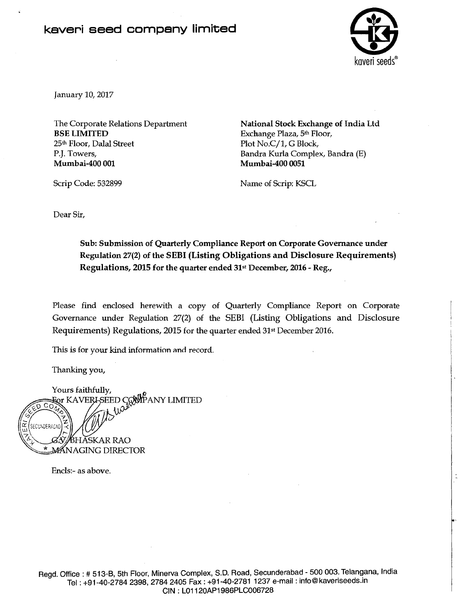## kaveri seed company limited



January 10,2017

Scrip Code: 532899

The Corporate Relations Department BSE LIMITED 25th Floor, Dalal Street P.J. Towers, Mumbai-400 001

National Stock Exchange of India Ltd Exchange Plaza, 5th Floor, Plot No.C/1, G Block, Bandra Kurla Complex, Bandra (E) Mumbai-400 0051

Name of Scrip: KSCL

Dear Sir,

Sub: Submission of Quarterly Compliance Report on Corporate Governance under Regulation 27(2) of the SEBI (Listing Obligations and Disclosure Requirements) Regulations, 2015 for the quarter ended 31st December, 2016 - Reg.,

Please find enclosed herewith a copy of Quarterly Compliance Report on Corporate Governance under Regulation 27(2) of the SEBI (Listing Obligations and Disclosure Requirements) Regulations, 2015 for the quarter ended 31st December 2016.

This is for your kind information and record.

Thanking you,

Yours faithfully,<br>For KAVERI-SEED CONPANY LIMITED<br>*A* SECUNDERADAD BHĂSKAR RAO **MÁNAGING DIRECTOR** 

Enc1s:- as above.

Regd. Office : # 513-B, 5th Floor, Minerva Complex, S.D. Road, Secunderabad - 500 003. Telangana, India Tel: +91-40-2784 2398, 2784 2405 Fax: +91-40-2781 1237 e-mail: info@kaveriseeds.in CIN : L01120AP1986PLC006728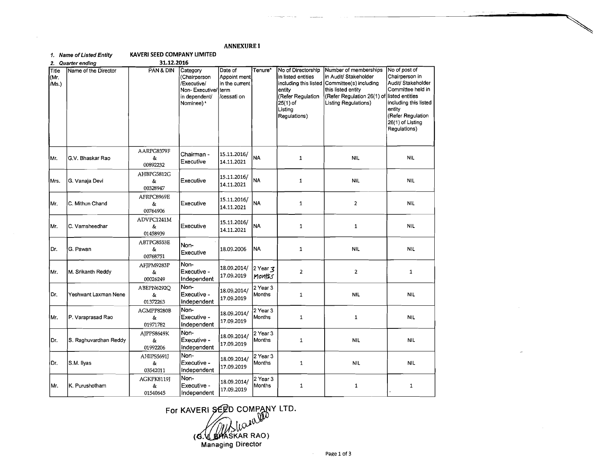## **ANNEXURE I**

| 31.12.2016<br>2. Quarter ending |                       |                              |                                                                                          |                                                                  |                           |                                                                                                                                           |                                                                                                                                                      |                                                                                                                                                                                            |
|---------------------------------|-----------------------|------------------------------|------------------------------------------------------------------------------------------|------------------------------------------------------------------|---------------------------|-------------------------------------------------------------------------------------------------------------------------------------------|------------------------------------------------------------------------------------------------------------------------------------------------------|--------------------------------------------------------------------------------------------------------------------------------------------------------------------------------------------|
| Title<br>(Mr.<br>/Ms.)          | Name of the Director  | PAN & DIN                    | Category<br>(Chairperson<br>/Executive/<br>Non-Executive/<br>in dependent/<br>Nominee) * | Date of<br>Appoint ment<br>in the current<br>term<br>/cessati on | Tenure*                   | No of Directorship<br>in listed entities<br>including this listed<br>entity<br>(Refer Regulation<br>$25(1)$ of<br>Listing<br>Regulations) | Number of memberships<br>in Audit/ Stakeholder<br>Committee(s) including<br>this listed entity<br>(Refer Regulation 26(1) of<br>Listing Regulations) | No of post of<br>Chairperson in<br>Audit/ Stakeholder<br>Committee held in<br>llisted entities<br>including this listed<br>entity<br>(Refer Regulation<br>26(1) of Listing<br>Regulations) |
| Mr.                             | G.V. Bhaskar Rao      | AARPG8379F<br>&<br>00892232  | Chairman -<br>Executive                                                                  | 15.11.2016/<br>14.11.2021                                        | <b>NA</b>                 | $\mathbf{1}$                                                                                                                              | <b>NIL</b>                                                                                                                                           | <b>NIL</b>                                                                                                                                                                                 |
| Mrs.                            | G. Vanaja Devi        | AHBPG5812G<br>&<br>00328947  | Executive                                                                                | 15.11.2016/<br>14.11.2021                                        | <b>NA</b>                 | 1                                                                                                                                         | <b>NIL</b>                                                                                                                                           | <b>NIL</b>                                                                                                                                                                                 |
| Mr.                             | C. Mithun Chand       | AFRPC8969E<br>&<br>00764906  | Executive                                                                                | 15.11.2016/<br>14.11.2021                                        | <b>NA</b>                 | 1                                                                                                                                         | $\overline{\mathbf{2}}$                                                                                                                              | <b>NIL</b>                                                                                                                                                                                 |
| lMr.                            | C. Vamsheedhar        | ADVPC1241M<br>δ.<br>01458939 | Executive                                                                                | 15.11.2016/<br>14.11.2021                                        | <b>NA</b>                 | 1                                                                                                                                         | $\mathbf 1$                                                                                                                                          | <b>NIL</b>                                                                                                                                                                                 |
| Dr.                             | G. Pawan              | ABTPG8553E<br>&<br>00768751  | Non-<br>Executive                                                                        | 18.09.2006                                                       | <b>NA</b>                 | $\mathbf{1}$                                                                                                                              | <b>NIL</b>                                                                                                                                           | <b>NIL</b>                                                                                                                                                                                 |
| IМг.                            | M. Srikanth Reddy     | AFJPM9283P<br>&<br>00026249  | Non-<br>Executive -<br>Independent                                                       | 18.09.2014/<br>17.09.2019                                        | 2 Year 3<br>Monitos       | $\overline{\mathbf{2}}$                                                                                                                   | $\overline{2}$                                                                                                                                       | 1                                                                                                                                                                                          |
| Dr.                             | Yeshwant Laxman Nene  | ABEPN6292Q<br>&<br>01372263  | Non-<br>Executive -<br>Independent                                                       | 18.09.2014/<br>17.09.2019                                        | 2 Year 3<br>Months        | $\mathbf{1}$                                                                                                                              | <b>NIL</b>                                                                                                                                           | <b>NIL</b>                                                                                                                                                                                 |
| IMr.                            | P. Varaprasad Rao     | AGMPP8280B<br>&<br>01971782  | Non-<br>Executive -<br>Independent                                                       | 18.09.2014/<br>17.09.2019                                        | 2 Year 3<br>Months        | $\mathbf{1}$                                                                                                                              | $\mathbf{1}$                                                                                                                                         | <b>NIL</b>                                                                                                                                                                                 |
| IDr.                            | S. Raghuvardhan Reddy | AJPPS8649K<br>&<br>01992206  | Non-<br>Executive -<br>Independent                                                       | 18.09.2014/<br>17.09.2019                                        | 2 Year 3<br>Months        | $\mathbf{1}$                                                                                                                              | <b>NIL</b>                                                                                                                                           | <b>NIL</b>                                                                                                                                                                                 |
| IDr.                            | S.M. Ilyas            | AHIPS5691J<br>&<br>03542011  | Non-<br>Executive -<br>Independent                                                       | 18.09.2014/<br>17.09.2019                                        | 2 Year 3<br>Months        | $\mathbf{1}$                                                                                                                              | <b>NIL</b>                                                                                                                                           | <b>NIL</b>                                                                                                                                                                                 |
| lMr.                            | K. Purushotham        | AGKPK8119J<br>&<br>01540645  | Non-<br>Executive -<br>Independent                                                       | 18.09.2014/<br>17.09.2019                                        | 2 Year 3<br><b>Months</b> | $\mathbf{1}$                                                                                                                              | $\mathbf{1}$                                                                                                                                         | $\mathbf{1}$                                                                                                                                                                               |

For KAVERI SEED COMPANY LTD.<br> **G. WARKAR RAO**<br>
Managing Director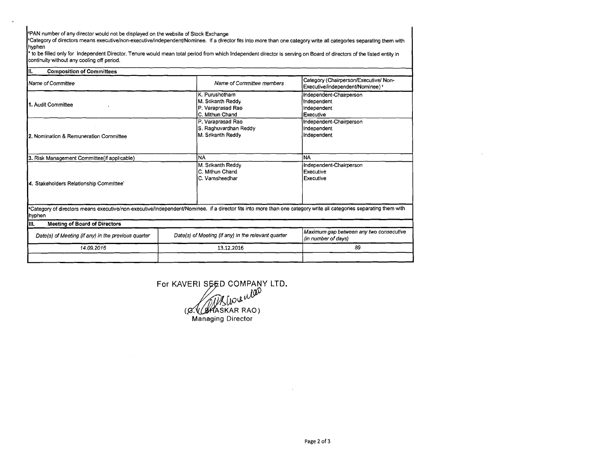'PAN number of any director would not be displayed on the website of Stock Exchange

 $\ddot{\text{c}}$ 

'Category of directors means **executivelnon-executivelindependentlNominee.** if a director fits into more than one category write all categories separating them with hyphen

\* to be filled only for Independent Director. Tenure would mean total period from which Independent director is serving on Board of directors of the listed entity in continuity without any cooling off period.

| III.<br><b>Composition of Committees</b>            |                                                                                                                                                                    |                                                                            |  |
|-----------------------------------------------------|--------------------------------------------------------------------------------------------------------------------------------------------------------------------|----------------------------------------------------------------------------|--|
| Name of Committee                                   | Name of Committee members                                                                                                                                          | Category (Chairperson/Executive/ Non-<br>Executive/independent/Nominee) \$ |  |
| 11. Audit Committee                                 | K. Purushotham<br>M. Srikanth Reddy<br>(P. Varaprasad Rao<br>IC. Mithun Chand                                                                                      | Independent-Chairperson<br>Independent<br>Independent<br>Executive         |  |
| 2. Nomination & Remuneration Committee              | P. Varaprasad Rao<br>S. Raghuvardhan Reddy<br>M. Srikanth Reddy                                                                                                    | Independent-Chairperson<br>Independent<br>Independent                      |  |
| 3. Risk Management Committee(if applicable)         | <b>NA</b>                                                                                                                                                          | ÌNA                                                                        |  |
| 4. Stakeholders Relationship Committee'             | M. Srikanth Reddy<br>C. Mithun Chand<br>C. Vamsheedhar                                                                                                             | Independent-Chairperson<br>Executive<br>Executive                          |  |
| hyphen                                              | "Category of directors means executive/non-executive/independent/Nominee. if a director fits into more than one category write all categories separating them with |                                                                            |  |
| <b>Meeting of Board of Directors</b><br>IIII.       |                                                                                                                                                                    |                                                                            |  |
| Date(s) of Meeting (if any) in the previous quarter | Date(s) of Meeting (if any) in the relevant quarter                                                                                                                | Maximum gap between any two consecutive<br>(in number of days)             |  |
| 14.09.2016                                          | 13.12.2016                                                                                                                                                         | 89                                                                         |  |
|                                                     |                                                                                                                                                                    |                                                                            |  |

For KAVERI SEED COMPANY LTD.<br>(*A. Chaskar RAO*) **Managing** Director